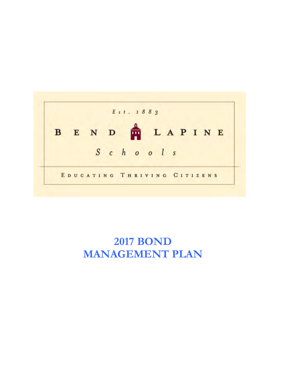

# **2017 BOND MANAGEMENT PLAN**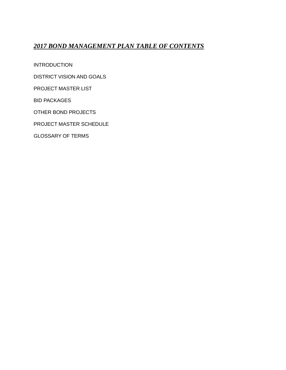# *2017 BOND MANAGEMENT PLAN TABLE OF CONTENTS*

INTRODUCTION

DISTRICT VISION AND GOALS

PROJECT MASTER LIST

BID PACKAGES

OTHER BOND PROJECTS

PROJECT MASTER SCHEDULE

GLOSSARY OF TERMS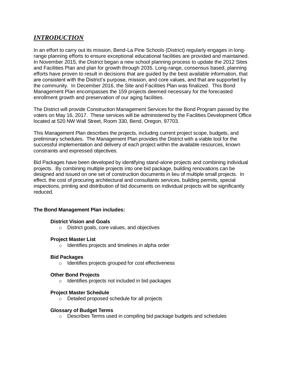# *INTRODUCTION*

In an effort to carry out its mission, Bend-La Pine Schools (District) regularly engages in longrange planning efforts to ensure exceptional educational facilities are provided and maintained. In November 2015, the District began a new school planning process to update the 2012 Sites and Facilities Plan and plan for growth through 2035. Long-range, consensus based, planning efforts have proven to result in decisions that are guided by the best available information, that are consistent with the District's purpose, mission, and core values, and that are supported by the community. In December 2016, the Site and Facilities Plan was finalized. This Bond Management Plan encompasses the 159 projects deemed necessary for the forecasted enrollment growth and preservation of our aging facilities.

The District will provide Construction Management Services for the Bond Program passed by the voters on May 16, 2017. These services will be administered by the Facilities Development Office located at 520 NW Wall Street, Room 330, Bend, Oregon, 97703.

This Management Plan describes the projects, including current project scope, budgets, and preliminary schedules. The Management Plan provides the District with a viable tool for the successful implementation and delivery of each project within the available resources, known constraints and expressed objectives.

Bid Packages have been developed by identifying stand-alone projects and combining individual projects. By combining multiple projects into one bid package, building renovations can be designed and issued on one set of construction documents in lieu of multiple small projects. In effect, the cost of procuring architectural and consultants services, building permits, special inspections, printing and distribution of bid documents on individual projects will be significantly reduced.

## **The Bond Management Plan includes:**

#### **District Vision and Goals**

o District goals, core values, and objectives

#### **Project Master List**

o Identifies projects and timelines in alpha order

#### **Bid Packages**

o Identifies projects grouped for cost effectiveness

#### **Other Bond Projects**

o Identifies projects not included in bid packages

#### **Project Master Schedule**

o Detailed proposed schedule for all projects

#### **Glossary of Budget Terms**

o Describes Terms used in compiling bid package budgets and schedules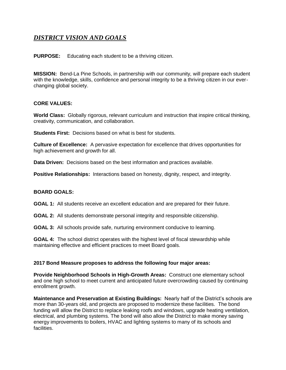# *DISTRICT VISION AND GOALS*

**PURPOSE:** Educating each student to be a thriving citizen.

**MISSION:** Bend-La Pine Schools, in partnership with our community, will prepare each student with the knowledge, skills, confidence and personal integrity to be a thriving citizen in our everchanging global society.

## **CORE VALUES:**

**World Class:** Globally rigorous, relevant curriculum and instruction that inspire critical thinking, creativity, communication, and collaboration.

**Students First:** Decisions based on what is best for students.

**Culture of Excellence:** A pervasive expectation for excellence that drives opportunities for high achievement and growth for all.

**Data Driven:** Decisions based on the best information and practices available.

**Positive Relationships:** Interactions based on honesty, dignity, respect, and integrity.

## **BOARD GOALS:**

**GOAL 1:** All students receive an excellent education and are prepared for their future.

**GOAL 2:** All students demonstrate personal integrity and responsible citizenship.

**GOAL 3:** All schools provide safe, nurturing environment conducive to learning.

**GOAL 4:** The school district operates with the highest level of fiscal stewardship while maintaining effective and efficient practices to meet Board goals.

## **2017 Bond Measure proposes to address the following four major areas:**

**Provide Neighborhood Schools in High-Growth Areas:** Construct one elementary school and one high school to meet current and anticipated future overcrowding caused by continuing enrollment growth.

**Maintenance and Preservation at Existing Buildings:** Nearly half of the District's schools are more than 30-years old, and projects are proposed to modernize these facilities. The bond funding will allow the District to replace leaking roofs and windows, upgrade heating ventilation, electrical, and plumbing systems. The bond will also allow the District to make money saving energy improvements to boilers, HVAC and lighting systems to many of its schools and facilities.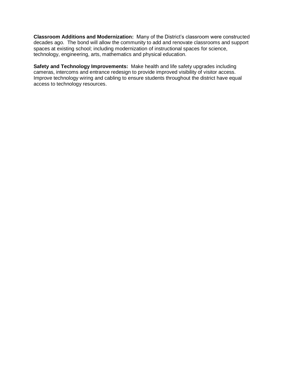**Classroom Additions and Modernization:** Many of the District's classroom were constructed decades ago. The bond will allow the community to add and renovate classrooms and support spaces at existing school; including modernization of instructional spaces for science, technology, engineering, arts, mathematics and physical education.

**Safety and Technology Improvements:** Make health and life safety upgrades including cameras, intercoms and entrance redesign to provide improved visibility of visitor access. Improve technology wiring and cabling to ensure students throughout the district have equal access to technology resources.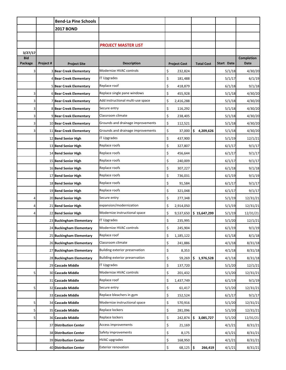|            |           | <b>Bend-La Pine Schools</b>    |                                   |                     |                   |            |             |
|------------|-----------|--------------------------------|-----------------------------------|---------------------|-------------------|------------|-------------|
|            |           | <b>2017 BOND</b>               |                                   |                     |                   |            |             |
|            |           |                                |                                   |                     |                   |            |             |
|            |           |                                | <b>PROJECT MASTER LIST</b>        |                     |                   |            |             |
| 3/27/17    |           |                                |                                   |                     |                   |            |             |
| <b>Bid</b> |           |                                |                                   |                     |                   |            | Completion  |
| Package    | Project # | <b>Project Site</b>            | <b>Description</b>                | <b>Project Cost</b> | <b>Total Cost</b> | Start Date | <b>Date</b> |
| 3          |           | <b>3 Bear Creek Elementary</b> | Modernize HVAC controls           | \$<br>232,824       |                   | 5/1/18     | 4/30/20     |
|            |           | 4 Bear Creek Elementary        | <b>IT Upgrades</b>                | \$<br>181,488       |                   | 5/1/17     | 6/1/19      |
|            |           | 5 Bear Creek Elementary        | Replace roof                      | \$<br>418,879       |                   | 6/1/18     | 9/1/18      |
| 3          |           | <b>6 Bear Creek Elementary</b> | Replace single pane windows       | \$<br>455,928       |                   | 5/1/18     | 4/30/20     |
| 3          |           | 7 Bear Creek Elementary        | Add instructional multi-use space | \$<br>2,416,288     |                   | 5/1/18     | 4/30/20     |
| 3          |           | 8 Bear Creek Elementary        | Secure entry                      | \$<br>116,292       |                   | 5/1/18     | 4/30/20     |
| 3          |           | 9 Bear Creek Elementary        | Classroom climate                 | \$<br>238,405       |                   | 5/1/18     | 4/30/20     |
| 3          |           | 10 Bear Creek Elementary       | Grounds and drainage improvements | \$<br>112,521       |                   | 5/1/18     | 4/30/20     |
| 3          |           | 11 Bear Creek Elementary       | Grounds and drainage improvements | \$<br>37,000        | \$<br>4,209,626   | 5/1/18     | 4/30/20     |
|            |           | 12 Bend Senior High            | <b>IT Upgrades</b>                | \$<br>437,900       |                   | 5/1/19     | 12/1/21     |
|            |           | 13 Bend Senior High            | Replace roofs                     | \$<br>327,807       |                   | 6/1/17     | 9/1/17      |
|            |           | 14 Bend Senior High            | Replace roofs                     | \$<br>456,644       |                   | 6/1/17     | 9/1/17      |
|            |           | 15 Bend Senior High            | Replace roofs                     | \$<br>240,009       |                   | 6/1/17     | 9/1/17      |
|            |           | 16 Bend Senior High            | Replace roofs                     | \$<br>307,227       |                   | 6/1/18     | 9/1/18      |
|            |           | 17 Bend Senior High            | Replace roofs                     | \$<br>736,031       |                   | 6/1/19     | 9/1/19      |
|            |           | 18 Bend Senior High            | Replace roofs                     | \$<br>91,584        |                   | 6/1/17     | 9/1/17      |
|            |           | 19 Bend Senior High            | Replace roofs                     | \$<br>321,048       |                   | 6/1/17     | 9/1/17      |
| 4          |           | 20 Bend Senior High            | Secure entry                      | \$<br>277,348       |                   | 5/1/19     | 12/31/21    |
|            |           | 21 Bend Senior High            | expansion/modernization           | \$<br>2,914,050     |                   | 5/1/19     | 12/31/21    |
|            |           | 22 Bend Senior High            | Modernize instructional space     | \$<br>9,537,650     | \$15,647,299      | 5/1/19     | 12/31/21    |
|            |           | 23 Buckingham Elementary       | <b>IT Upgrades</b>                | \$<br>235,995       |                   | 5/1/20     | 12/1/21     |
|            |           | 24 Buckingham Elementary       | Modernize HVAC controls           | \$<br>245,904       |                   | 6/1/19     | 9/1/19      |
|            |           | 25 Buckingham Elementary       | Replace roof                      | \$<br>1,185,122     |                   | 6/1/18     | 8/1/18      |
|            |           | 26 Buckingham Elementary       | Classroom climate                 | \$<br>241,886       |                   | 4/1/18     | 8/31/18     |
|            |           | 27 Buckingham Elementary       | Building exterior preservation    | \$<br>8,353         |                   | 4/1/18     | 8/31/18     |
|            |           | 28 Buckingham Elementary       | Building exterior preservation    | \$<br>59,269        | \$<br>1,976,528   | 4/1/18     | 8/31/18     |
|            |           | 29 Cascade Middle              | <b>IT Upgrades</b>                | \$<br>137,720       |                   | 5/1/20     | 12/1/21     |
| 5          |           | 30 Cascade Middle              | Modernize HVAC controls           | \$<br>201,432       |                   | 5/1/20     | 12/31/21    |
|            |           | 31 Cascade Middle              | Replace roof                      | \$<br>1,437,749     |                   | 6/1/19     | 9/1/19      |
| 5          |           | 32 Cascade Middle              | Secure entry                      | \$<br>61,417        |                   | 5/1/20     | 12/31/21    |
|            |           | 33 Cascade Middle              | Replace bleachers in gym          | \$<br>152,524       |                   | 6/1/17     | 9/1/17      |
| 5          |           | 34 Cascade Middle              | Modernize instructional space     | \$<br>570,916       |                   | 5/1/20     | 12/31/21    |
| 5          |           | 35 Cascade Middle              | Replace lockers                   | \$<br>281,096       |                   | 5/1/20     | 12/31/21    |
| 5          |           | 36 Cascade Middle              | Replace lockers                   | \$<br>242,874       | \$<br>3,085,727   | 5/1/20     | 12/31/21    |
|            |           | 37 Distribution Center         | Access improvements               | \$<br>21,169        |                   | 4/1/21     | 8/31/21     |
|            |           | <b>38 Distribution Center</b>  | Safety improvements               | \$<br>8,175         |                   | 4/1/21     | 8/31/21     |
|            |           | 39 Distribution Center         | <b>HVAC</b> upgrades              | \$<br>168,950       |                   | 4/1/21     | 8/31/21     |
|            |           | <b>40 Distribution Center</b>  | <b>Exterior renovation</b>        | \$<br>68,125        | \$<br>266,419     | 4/1/21     | 8/31/21     |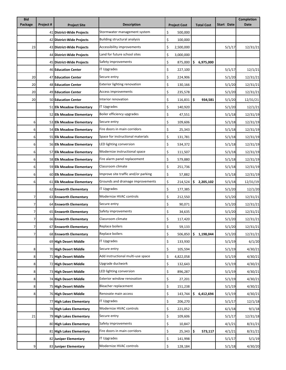| <b>Bid</b> |           |                            |                                     |    |                     |    |                   |            | <b>Completion</b> |
|------------|-----------|----------------------------|-------------------------------------|----|---------------------|----|-------------------|------------|-------------------|
| Package    | Project # | <b>Project Site</b>        | <b>Description</b>                  |    | <b>Project Cost</b> |    | <b>Total Cost</b> | Start Date | Date              |
|            |           | 41 District-Wide Projects  | Stormwater management system        | \$ | 500,000             |    |                   |            |                   |
|            |           | 42 District-Wide Projects  | Building structural analysis        | \$ | 100,000             |    |                   |            |                   |
| 23         |           | 43 District-Wide Projects  | Accessibility improvements          | \$ | 2,500,000           |    |                   | 5/1/17     | 12/31/21          |
|            |           | 44 District-Wide Projects  | Land for future school sites        | \$ | 3,000,000           |    |                   |            |                   |
|            |           | 45 District-Wide Projects  | Safety improvements                 | \$ | 875,000             | \$ | 6,975,000         |            |                   |
|            |           | 46 Education Center        | IT Upgrades                         | \$ | 227,100             |    |                   | 5/1/17     | 12/1/21           |
| 20         |           | 47 Education Center        | Secure entry                        | \$ | 224,906             |    |                   | 5/1/20     | 12/31/21          |
| 20         |           | <b>48 Education Center</b> | <b>Exterior lighting renovation</b> | \$ | 130,166             |    |                   | 5/1/20     | 12/31/21          |
| 20         |           | 49 Education Center        | Access improvements                 | \$ | 235,578             |    |                   | 5/1/20     | 12/31/21          |
| 20         |           | <b>50 Education Center</b> | Interior renovation                 | \$ | $116,831$ \$        |    | 934,581           | 5/1/20     | 12/31/21          |
|            |           | 51 Elk Meadow Elementary   | IT Upgrades                         | \$ | 140,920             |    |                   | 5/1/20     | 12/1/21           |
|            |           | 52 Elk Meadow Elementary   | Boiler efficiency upgrades          | \$ | 47,551              |    |                   | 5/1/18     | 12/31/19          |
| 6          |           | 53 Elk Meadow Elementary   | Secure entry                        | \$ | 109,606             |    |                   | 5/1/18     | 12/31/19          |
| 6          |           | 54 Elk Meadow Elementary   | Fire doors in main corridors        | \$ | 25,343              |    |                   | 5/1/18     | 12/31/19          |
| 6          |           | 55 Elk Meadow Elementary   | Space for instructional materials   | \$ | 131,781             |    |                   | 5/1/18     | 12/31/19          |
| 6          |           | 56 Elk Meadow Elementary   | LED lighting conversion             | \$ | 534,372             |    |                   | 5/1/18     | 12/31/19          |
| 6          |           | 57 Elk Meadow Elementary   | Modernize instructional space       | \$ | 111,507             |    |                   | 5/1/18     | 12/31/19          |
| 6          |           | 58 Elk Meadow Elementary   | Fire alarm panel replacement        | \$ | 579,880             |    |                   | 5/1/18     | 12/31/19          |
| 6          |           | 59 Elk Meadow Elementary   | Classroom climate                   | \$ | 251,736             |    |                   | 5/1/18     | 12/31/19          |
| 6          |           | 60 Elk Meadow Elementary   | Improve site traffic and/or parking | \$ | 57,882              |    |                   | 5/1/18     | 12/31/19          |
| 6          |           | 61 Elk Meadow Elementary   | Grounds and drainage improvements   | \$ | 214,524             |    | \$2,205,102       | 5/1/18     | 12/31/19          |
|            |           | 62 Ensworth Elementary     | <b>IT Upgrades</b>                  | \$ | 177,385             |    |                   | 5/1/20     | 12/1/20           |
| 7          |           | 63 Ensworth Elementary     | Modernize HVAC controls             | \$ | 212,550             |    |                   | 5/1/20     | 12/31/21          |
| 7          |           | 64 Ensworth Elementary     | Secure entry                        | \$ | 90,071              |    |                   | 5/1/20     | 12/31/21          |
| 7          |           | 65 Ensworth Elementary     | Safety improvements                 | \$ | 34,635              |    |                   | 5/1/20     | 12/31/21          |
| 7          |           | 66 Ensworth Elementary     | Classroom climate                   | \$ | 117,420             |    |                   | 5/1/20     | 12/31/21          |
| 7          |           | 67 Ensworth Elementary     | Replace boilers                     | Ş  | 59,133              |    |                   | 5/1/20     | 12/31/21          |
| 7          |           | 68 Ensworth Elementary     | Replace boilers                     | \$ | 506,850             | \$ | 1,198,044         | 5/1/20     | 12/31/21          |
|            |           | 69 High Desert Middle      | IT Upgrades                         | \$ | 133,930             |    |                   | 5/1/19     | 6/1/20            |
| 8          |           | 70 High Desert Middle      | Secure entry                        | \$ | 105,594             |    |                   | 5/1/19     | 4/30/21           |
| 8          |           | 71 High Desert Middle      | Add instructional multi-use space   | \$ | 4,822,058           |    |                   | 5/1/19     | 4/30/21           |
| 8          |           | 72 High Desert Middle      | Upgrade ductwork                    | \$ | 132,643             |    |                   | 5/1/19     | 4/30/21           |
| 8          |           | 73 High Desert Middle      | LED lighting conversion             | \$ | 896,287             |    |                   | 5/1/19     | 4/30/21           |
| 8          |           | 74 High Desert Middle      | <b>Exterior window renovation</b>   | \$ | 27,201              |    |                   | 5/1/19     | 4/30/21           |
| 8          |           | 75 High Desert Middle      | Bleacher replacement                | \$ | 151,238             |    |                   | 5/1/19     | 4/30/21           |
| 8          |           | 76 High Desert Middle      | Renovate main access                | \$ | 143,744             |    | \$6,412,694       | 5/1/19     | 4/30/21           |
|            |           | 77 High Lakes Elementary   | <b>IT Upgrades</b>                  | \$ | 206,270             |    |                   | 5/1/17     | 12/1/18           |
|            |           | 78 High Lakes Elementary   | Modernize HVAC controls             | \$ | 221,052             |    |                   | 6/1/18     | 9/1/18            |
| 21         |           | 79 High Lakes Elementary   | Secure entry                        | \$ | 109,606             |    |                   | 5/1/17     | 12/31/18          |
|            |           | 80 High Lakes Elementary   | Safety improvements                 | \$ | 10,847              |    |                   | 4/1/21     | 8/31/21           |
|            |           | 81 High Lakes Elementary   | Fire doors in main corridors        | \$ | 25,343              | \$ | 573,117           | 4/1/21     | 8/31/21           |
|            |           | 82 Juniper Elementary      | IT Upgrades                         | \$ | 141,998             |    |                   |            |                   |
|            |           |                            | Modernize HVAC controls             |    |                     |    |                   | 5/1/17     | 5/1/19            |
| 9          |           | 83 Juniper Elementary      |                                     | \$ | 128,184             |    |                   | 5/1/18     | 4/30/20           |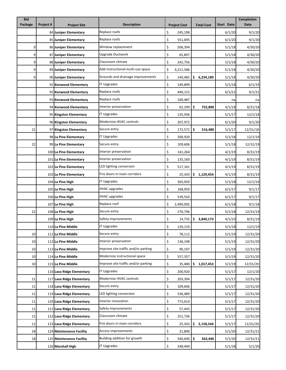| <b>Bid</b> |           |                           |                                     |    |                     |    |                   |            | <b>Completion</b> |
|------------|-----------|---------------------------|-------------------------------------|----|---------------------|----|-------------------|------------|-------------------|
| Package    | Project # | <b>Project Site</b>       | <b>Description</b>                  |    | <b>Project Cost</b> |    | <b>Total Cost</b> | Start Date | Date              |
|            |           | 84 Juniper Elementary     | Replace roofs                       | \$ | 245,198             |    |                   | 6/1/20     | 9/1/20            |
|            |           | 85 Juniper Elementary     | Replace roofs                       | \$ | 551,695             |    |                   | 6/1/20     | 9/1/20            |
| 9          |           | 86 Juniper Elementary     | Window replacement                  | \$ | 506,394             |    |                   | 5/1/18     | 4/30/20           |
| 9          |           | 87 Juniper Elementary     | Upgrade Ductwork                    | \$ | 65,897              |    |                   | 5/1/18     | 4/30/20           |
| 9          |           | 88 Juniper Elementary     | Classroom climate                   | \$ | 242,756             |    |                   | 5/1/18     | 4/30/20           |
| 9          |           | 89 Juniper Elementary     | Add instructional multi-use space   | \$ | 4,211,586           |    |                   | 5/1/18     | 4/30/20           |
| 9          |           | 90 Juniper Elementary     | Grounds and drainage improvements   | \$ | 140,482             |    | \$6,234,189       | 5/1/18     | 4/30/20           |
|            |           | 91 Kenwood Elementary     | IT Upgrades                         | \$ | 149,899             |    |                   | 5/1/18     | 6/1/19            |
|            |           | 92 Kenwood Elementary     | Replace roofs                       | \$ | 440,115             |    |                   | 6/1/21     | 9/1/21            |
|            |           | 93 Kenwood Elementary     | Replace roofs                       | \$ | 100,487             |    |                   | na         | na                |
|            |           | 94 Kenwood Elementary     | Interior preservation               | \$ | 62,299              | \$ | 752,800           | 4/1/18     | 8/31/18           |
|            |           | 95 Kingston Elementary    | <b>IT Upgrades</b>                  | \$ | 135,936             |    |                   | 5/1/17     | 12/1/18           |
|            |           | 96 Kingston Elementary    | Modernize HVAC controls             | \$ | 207,972             |    |                   | 6/1/20     | 9/1/20            |
| 21         |           | 97 Kingston Elementary    | Secure entry                        | \$ | 172,572 \$          |    | 516,480           | 5/1/17     | 12/31/18          |
|            |           | 98 La Pine Elementary     | IT Upgrades                         | \$ | 200,920             |    |                   | 5/1/18     | 12/1/19           |
| 22         |           | 99 La Pine Elementary     | Secure entry                        | \$ | 109,606             |    |                   | 5/1/18     | 12/31/19          |
|            |           | 100 La Pine Elementary    | Interior preservation               | \$ | 141,264             |    |                   | 4/1/19     | 8/31/19           |
|            |           | 101 La Pine Elementary    | Interior preservation               | \$ | 135,160             |    |                   | 4/1/19     | 8/31/19           |
|            |           | 102 La Pine Elementary    | LED lighting conversion             | \$ | 517,161             |    |                   | 4/1/19     | 8/31/19           |
|            |           | 103 La Pine Elementary    | Fire doors in main corridors        | \$ | 25,343              | \$ | 1,129,454         | 4/1/19     | 8/31/19           |
|            |           | 104 La Pine High          | IT Upgrades                         | \$ | 365,050             |    |                   | 5/1/18     | 12/1/19           |
|            |           | 105 La Pine High          | <b>HVAC upgrades</b>                | \$ | 168,950             |    |                   | 6/1/17     | 9/1/17            |
|            |           | 106 La Pine High          | <b>HVAC upgrades</b>                | \$ | 539,550             |    |                   | 6/1/17     | 9/1/17            |
|            |           | 107 La Pine High          | Replace roof                        | \$ | 2,490,092           |    |                   | 6/1/18     | 9/1/18            |
| 22         |           | 108 La Pine High          | Secure entry                        | \$ | 270,796             |    |                   | 5/1/18     | 12/31/19          |
|            |           | 109 La Pine High          | Safety improvements                 | \$ | 14,735              | \$ | 3,849,173         | 4/1/19     | 8/31/19           |
|            |           | 110 La Pine Middle        | IT Upgrades                         | Ş  | 120,110             |    |                   | 5/1/18     | 12/1/19           |
| 10         |           | 111 La Pine Middle        | Secure entry                        | \$ | 78,112              |    |                   | 5/1/19     | 12/31/20          |
| 10         |           | 112 La Pine Middle        | Interior preservation               | \$ | 136,198             |    |                   | 5/1/19     | 12/31/20          |
| 10         |           | 113 La Pine Middle        | Improve site traffic and/or parking | \$ | 90,197              |    |                   | 5/1/19     | 12/31/20          |
| 10         |           | 114 La Pine Middle        | Modernize instructional space       | \$ | 557,357             |    |                   | 5/1/19     | 12/31/20          |
| 10         |           | 115 La Pine Middle        | Improve site traffic and/or parking | \$ | 35,480              | \$ | 1,017,453         | 5/1/19     | 12/31/20          |
|            |           | 116 Lava Ridge Elementary | IT Upgrades                         | \$ | 200,920             |    |                   | 5/1/17     | 12/1/20           |
| 11         |           | 117 Lava Ridge Elementary | Modernize HVAC controls             | \$ | 203,394             |    |                   | 5/1/17     | 12/31/20          |
| 11         |           | 118 Lava Ridge Elementary | Secure entry                        | \$ | 109,606             |    |                   | 5/1/17     | 12/31/20          |
| 11         |           | 119 Lava Ridge Elementary | LED lighting conversion             | \$ | 536,489             |    |                   | 5/1/17     | 12/31/20          |
| 11         |           | 120 Lava Ridge Elementary | Interior renovation                 | \$ | 773,614             |    |                   | 5/1/17     | 12/31/20          |
| 11         |           | 121 Lava Ridge Elementary | Safety improvements                 | \$ | 57,443              |    |                   | 5/1/17     | 12/31/20          |
| 11         |           | 122 Lava Ridge Elementary | Classroom climate                   | \$ | 251,736             |    |                   | 5/1/17     | 12/31/20          |
| 11         |           | 123 Lava Ridge Elementary | Fire doors in main corridors        | \$ | 25,343              | \$ | 2,158,544         | 5/1/17     | 12/31/20          |
| 18         |           | 124 Maintenance Facility  | Access improvements                 | \$ | 21,800              |    |                   | 5/1/20     | 12/31/21          |
| 18         |           | 125 Maintenance Facility  | Building addition for growth        | \$ | 540,640             | \$ | 562,440           | 5/1/20     | 12/31/21          |
|            |           | 126 Marshall High         | <b>IT Upgrades</b>                  | \$ | 348,449             |    |                   | 5/1/18     | 5/1/20            |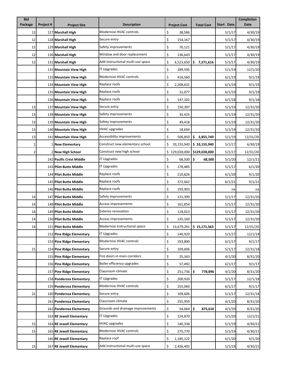| <b>Bid</b> |           |                           |                                   |    |                     |                                |                   | <b>Completion</b> |
|------------|-----------|---------------------------|-----------------------------------|----|---------------------|--------------------------------|-------------------|-------------------|
| Package    | Project # | <b>Project Site</b>       | <b>Description</b>                |    | <b>Project Cost</b> | <b>Total Cost</b>              | <b>Start Date</b> | Date              |
| 12         |           | 127 Marshall High         | Modernize HVAC controls           | \$ | 38,586              |                                | 5/1/17            | 4/30/19           |
| 12         |           | 128 Marshall High         | Secure entry                      | \$ | 154,167             |                                | 5/1/17            | 4/30/19           |
| 12         |           | 129 Marshall High         | Safety improvements               | \$ | 70,121              |                                | 5/1/17            | 4/30/19           |
| 12         |           | 130 Marshall High         | Window and door replacement       | \$ | 136,643             |                                | 5/1/17            | 4/30/19           |
| 12         |           | 131 Marshall High         | Add instructional multi-use space | \$ | 6,523,650           | \$<br>7,271,616                | 5/1/17            | 4/30/19           |
|            |           | 132 Mountain View High    | IT Upgrades                       | \$ | 289,595             |                                | 5/1/19            | 12/1/20           |
|            |           | 133 Mountain View High    | Modernize HVAC controls           | \$ | 418,560             |                                | 6/1/19            | 9/1/19            |
|            |           | 134 Mountain View High    | Replace roofs                     | \$ | 2,208,631           |                                | 6/1/19            | 9/1/19            |
|            |           | 135 Mountain View High    | Replace roofs                     | \$ | 31,077              |                                | 6/1/19            | 9/1/19            |
|            |           | 136 Mountain View High    | Replace roofs                     | \$ | 147,102             |                                | 6/1/18            | 9/1/18            |
| 13         |           | 137 Mountain View High    | Secure entry                      | \$ | 150,397             |                                | 5/1/19            | 12/31/20          |
| 13         |           | 138 Mountain View High    | Safety improvements               | \$ | 35,425              |                                | 5/1/19            | 12/31/20          |
| 13         |           | 139 Mountain View High    | Safety improvements               | \$ | 49,418              |                                | 5/1/19            | 12/31/20          |
| 13         |           | 140 Mountain View High    | HVAC upgrades                     | \$ | 18,694              |                                | 5/1/19            | 12/31/20          |
| 13         |           | 141 Mountain View High    | Accessibility improvements        | \$ | 506,850             | \$3,855,749                    | 5/1/19            | 12/31/20          |
| 1          |           | 1 New Elementary          | Construct new elementary school   | \$ | 33,155,940          | \$33,155,940                   | 5/1/17            | 6/30/19           |
| 2          |           | 2 New High School         | Construct new high school         |    | \$129,028,000       | \$129,028,000                  | 5/1/17            | 12/31/20          |
|            |           | 142 Pacific Crest Middle  | IT Upgrades                       | \$ | 68,500              | \$<br>68,500                   | 5/1/20            | 12/1/21           |
|            |           | 143 Pilot Butte Middle    | <b>IT Upgrades</b>                | \$ | 178,485             |                                | 5/1/17            | 6/1/20            |
|            |           | 144 Pilot Butte Middle    | Replace roofs                     | \$ | 210,826             |                                | 6/1/20            | 9/1/20            |
|            |           | 145 Pilot Butte Middle    | Replace roofs                     | \$ | 372,642             |                                | 6/1/21            | 9/1/21            |
|            |           | 146 Pilot Butte Middle    | Replace roofs                     | \$ | 193,903             |                                | na                | na                |
| 14         |           | 147 Pilot Butte Middle    | Safety improvements               | \$ | 121,399             |                                | 5/1/17            | 12/31/20          |
| 14         |           | 148 Pilot Butte Middle    | Access improvements               | \$ | 161,854             |                                | 5/1/17            | 12/31/20          |
| 14         |           | 149 Pilot Butte Middle    | <b>Exterior renovation</b>        | \$ | 118,013             |                                | 5/1/17            | 12/31/20          |
| 14         |           | 150 Pilot Butte Middle    | Access improvements               | \$ | 135,160             |                                | 5/1/17            | 12/31/20          |
| 14         |           | 151 Pilot Butte Middle    | Modernize instructional space     | Ş  |                     | 13,679,281   \$15,171,563      | 5/1/17            | 12/31/20          |
|            |           | 152 Pine Ridge Elementary | <b>IT Upgrades</b>                | \$ | 140,920             |                                | 5/1/17            | 12/1/18           |
|            |           | 153 Pine Ridge Elementary | Modernize HVAC controls           | \$ | 193,800             |                                | 6/1/17            | 9/1/17            |
| 21         |           | 154 Pine Ridge Elementary | Secure entry                      | \$ | 109,606             |                                | 5/1/17            | 12/31/18          |
|            |           | 155 Pine Ridge Elementary | Fire doors in main corridors      | \$ | 25,343              |                                | 4/1/20            | 8/31/20           |
|            |           | 156 Pine Ridge Elementary | Boiler efficiency upgrades        | \$ | 57,492              |                                | 6/1/17            | 9/1/17            |
|            |           | 157 Pine Ridge Elementary | Classroom climate                 | \$ | 251,736             | \$<br>778,896                  | 4/1/20            | 8/31/20           |
|            |           | 158 Ponderosa Elementary  | <b>IT Upgrades</b>                | \$ | 200,920             |                                | 5/1/17            | 12/1/18           |
|            |           | 159 Ponderosa Elementary  | Modernize HVAC controls           | \$ | 255,060             |                                | 6/1/17            | 9/1/17            |
| 21         |           | 160 Ponderosa Elementary  | Secure entry                      | \$ | 109,606             |                                | 5/1/17            | 12/31/18          |
|            |           | 161 Ponderosa Elementary  | Classroom climate                 | \$ | 255,959             |                                | 4/1/20            | 8/31/20           |
|            |           | 162 Ponderosa Elementary  | Grounds and drainage improvements | \$ | 54,064              | $\ddot{\bm{\zeta}}$<br>875,610 | 4/1/20            | 8/31/20           |
|            |           | 163 RE Jewell Elementary  | <b>IT Upgrades</b>                | \$ | 124,870             |                                | 5/1/20            | 12/1/21           |
| 15         |           | 164 RE Jewell Elementary  | <b>HVAC upgrades</b>              | \$ | 140,338             |                                | 5/1/19            | 4/30/21           |
| 15         |           | 165 RE Jewell Elementary  | Modernize HVAC controls           | \$ | 275,770             |                                | 5/1/19            | 4/30/21           |
|            |           | 166 RE Jewell Elementary  | Replace roof                      | \$ | 1,185,122           |                                | 6/1/20            | 9/1/20            |
| 15         |           | 167 RE Jewell Elementary  | Add instructional multi-use space | \$ | 2,436,405           |                                | 5/1/19            | 4/30/21           |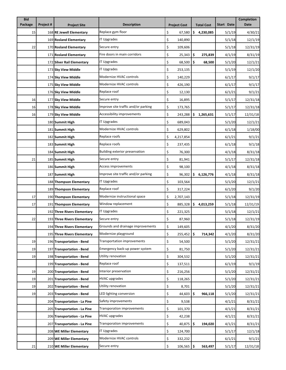| <b>Bid</b> |           |                              |                                     |    |                     |                           |                   |            | <b>Completion</b> |
|------------|-----------|------------------------------|-------------------------------------|----|---------------------|---------------------------|-------------------|------------|-------------------|
| Package    | Project # | <b>Project Site</b>          | <b>Description</b>                  |    | <b>Project Cost</b> |                           | <b>Total Cost</b> | Start Date | <b>Date</b>       |
| 15         |           | 168 RE Jewell Elementary     | Replace gym floor                   | \$ | 67,580              |                           | \$4,230,085       | 5/1/19     | 4/30/21           |
|            |           | 169 Rosland Elementary       | <b>IT Upgrades</b>                  | \$ | 140,890             |                           |                   | 5/1/18     | 12/1/19           |
| 22         |           | 170 Rosland Elementary       | Secure entry                        | \$ | 109,606             |                           |                   | 5/1/18     | 12/31/19          |
|            |           | 171 Rosland Elementary       | Fire doors in main corridors        | \$ | 25,343              | \$                        | 275,839           | 4/1/19     | 8/31/19           |
|            |           | 172 Silver Rail Elementary   | IT Upgrades                         | \$ | 68,500              | \$                        | 68,500            | 5/1/20     | 12/1/21           |
|            |           | 173 Sky View Middle          | <b>IT Upgrades</b>                  | \$ | 253,135             |                           |                   | 5/1/19     | 12/1/20           |
|            |           | 174 Sky View Middle          | Modernize HVAC controls             | \$ | 140,229             |                           |                   | 6/1/17     | 9/1/17            |
|            |           | 175 Sky View Middle          | Modernize HVAC controls             | \$ | 426,190             |                           |                   | 6/1/17     | 9/1/17            |
|            |           | 176 Sky View Middle          | Replace roof                        | \$ | 12,130              |                           |                   | 6/1/21     | 9/1/21            |
| 16         |           | 177 Sky View Middle          | Secure entry                        | \$ | 16,895              |                           |                   | 5/1/17     | 12/31/18          |
| 16         |           | 178 Sky View Middle          | Improve site traffic and/or parking | \$ | 173,765             |                           |                   | 5/1/17     | 12/31/18          |
| 16         |           | 179 Sky View Middle          | Accessibility improvements          | \$ | 243,288             |                           | \$1,265,631       | 5/1/17     | 12/31/18          |
|            |           | 180 Summit High              | IT Upgrades                         | \$ | 689,043             |                           |                   | 5/1/20     | 12/1/21           |
|            |           | 181 Summit High              | Modernize HVAC controls             | \$ | 629,802             |                           |                   | 6/1/18     | 1/18/00           |
|            |           | 182 Summit High              | Replace roofs                       | \$ | 4,217,854           |                           |                   | 6/1/21     | 9/1/21            |
|            |           | 183 Summit High              | Replace roofs                       | \$ | 237,435             |                           |                   | 6/1/18     | 9/1/18            |
|            |           | 184 Summit High              | Building exterior preservation      | \$ | 76,300              |                           |                   | 4/1/18     | 8/31/18           |
| 21         |           | 185 Summit High              | Secure entry                        | \$ | 81,941              |                           |                   | 5/1/17     | 12/31/18          |
|            |           | 186 Summit High              | Access improvements                 | \$ | 98,100              |                           |                   | 4/1/18     | 8/31/18           |
|            |           | 187 Summit High              | Improve site traffic and/or parking | \$ | 96,302              | \$                        | 6,126,776         | 4/1/18     | 8/31/18           |
|            |           | 188 Thompson Elementary      | <b>IT Upgrades</b>                  | \$ | 103,564             |                           |                   | 5/1/20     | 12/1/21           |
|            |           | 189 Thompson Elementary      | Replace roof                        | \$ | 317,224             |                           |                   | 6/1/20     | 9/1/20            |
| 17         |           | 190 Thompson Elementary      | Modernize instructional space       | \$ | 2,707,143           |                           |                   | 5/1/18     | 12/31/19          |
| 17         |           | 191 Thompson Elementary      | Window replacement                  | \$ | 885,328             |                           | \$4,013,259       | 5/1/18     | 12/31/19          |
|            |           | 192 Three Rivers Elementary  | <b>IT Upgrades</b>                  | \$ | 221,325             |                           |                   | 5/1/18     | 12/1/21           |
| 22         |           | 193 Three Rivers Elementary  | Secure entry                        | \$ | 87,960              |                           |                   | 5/1/18     | 12/31/19          |
|            |           | 194 Three Rivers Elementary  | Grounds and drainage improvements   | Ş  | 149,605             |                           |                   | 4/1/20     | 8/31/20           |
|            |           | 195 Three Rivers Elementary  | Modernize playground                | \$ | 255,452             | $\boldsymbol{\mathsf{S}}$ | 714,342           | 4/1/20     | 8/31/20           |
| 19         |           | 196 Transportation - Bend    | <b>Transportation improvements</b>  | \$ | 54,500              |                           |                   | 5/1/20     | 12/31/21          |
| 19         |           | 197 Transportation - Bend    | Emergency back-up power system      | \$ | 81,750              |                           |                   | 5/1/20     | 12/31/21          |
| 19         |           | 198 Transportation - Bend    | Utility renovation                  | \$ | 304,532             |                           |                   | 5/1/20     | 12/31/21          |
|            |           | 199 Transportation - Bend    | Replace roof                        | \$ | 137,511             |                           |                   | 6/1/19     | 9/1/19            |
| 19         |           | 200 Transportation - Bend    | Interior preservation               | \$ | 216,256             |                           |                   | 5/1/20     | 12/31/21          |
| 19         |           | 201 Transportation - Bend    | <b>HVAC upgrades</b>                | \$ | 118,265             |                           |                   | 5/1/20     | 12/31/21          |
| 19         |           | 202 Transportation - Bend    | Utility renovation                  | \$ | 8,701               |                           |                   | 5/1/20     | 12/31/21          |
| 19         |           | 203 Transportation - Bend    | LED lighting conversion             | \$ | 44,603              | \$                        | 966,118           | 5/1/20     | 12/31/21          |
|            |           | 204 Transportation - La Pine | Safety improvements                 | \$ | 9,538               |                           |                   | 4/1/21     | 8/31/21           |
|            |           | 205 Transportation - La Pine | Transporation improvements          | \$ | 101,370             |                           |                   | 4/1/21     | 8/31/21           |
|            |           | 206 Transportation - La Pine | <b>HVAC</b> upgrades                | \$ | 42,238              |                           |                   | 4/1/21     | 8/31/21           |
|            |           | 207 Transportation - La Pine | Transporation improvements          | \$ | 40,875              | \$                        | 194,020           | 4/1/21     | 8/31/21           |
|            |           | 208 WE Miller Elementary     | IT Upgrades                         | \$ | 124,700             |                           |                   | 5/1/17     | 12/1/18           |
|            |           | 209 WE Miller Elementary     | Modernize HVAC controls             | \$ | 332,232             |                           |                   | 6/1/21     | 9/1/21            |
| 21         |           | 210 WE Miller Elementary     | Secure entry                        | \$ | 106,565             | \$                        | 563,497           | 5/1/17     | 12/31/18          |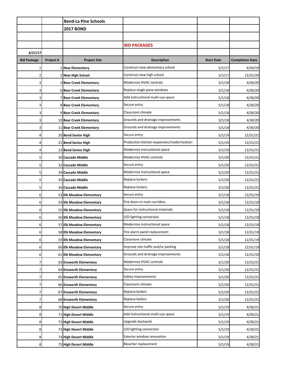|                    |           | <b>Bend-La Pine Schools</b>    |                                            |                   |                        |
|--------------------|-----------|--------------------------------|--------------------------------------------|-------------------|------------------------|
|                    |           | <b>2017 BOND</b>               |                                            |                   |                        |
|                    |           |                                |                                            |                   |                        |
|                    |           |                                | <b>BID PACKAGES</b>                        |                   |                        |
| 3/27/17            |           |                                |                                            |                   |                        |
| <b>Bid Package</b> | Project # | <b>Project Site</b>            | <b>Description</b>                         | <b>Start Date</b> | <b>Completion Date</b> |
| 1                  |           | 1 New Elementary               | Construct new elementary school            | 5/1/17            | 6/30/19                |
| 2                  |           | 2 New High School              | Construct new high school                  | 5/1/17            | 12/31/20               |
| 3                  |           | <b>3 Bear Creek Elementary</b> | Modernize HVAC controls                    | 5/1/18            | 4/30/20                |
| 3                  |           | 6 Bear Creek Elementary        | Replace single pane windows                | 5/1/18            | 4/30/20                |
| 3                  |           | 7 Bear Creek Elementary        | Add instructional multi-use space          | 5/1/18            | 4/30/20                |
| 3                  |           | 8 Bear Creek Elementary        | Secure entry                               | 5/1/18            | 4/30/20                |
| 3                  |           | 9 Bear Creek Elementary        | Classroom climate                          | 5/1/18            | 4/30/20                |
| 3                  |           | 10 Bear Creek Elementary       | Grounds and drainage improvements          | 5/1/18            | 4/30/20                |
| 3                  |           | 11 Bear Creek Elementary       | Grounds and drainage improvements          | 5/1/18            | 4/30/20                |
| 4                  |           | 20 Bend Senior High            | Secure entry                               | 5/1/19            | 12/31/21               |
|                    |           | 21 Bend Senior High            | Production kitchen expansion/modernization | 5/1/19            | 12/31/21               |
| 4                  |           | 22 Bend Senior High            | Modernize instructional space              | 5/1/19            | 12/31/21               |
| 5                  |           | 30 Cascade Middle              | Modernize HVAC controls                    | 5/1/20            | 12/31/21               |
| 5                  |           | 32 Cascade Middle              | Secure entry                               | 5/1/20            | 12/31/21               |
| 5                  |           | 34 Cascade Middle              | Modernize instructional space              | 5/1/20            | 12/31/21               |
| 5                  |           | 35 Cascade Middle              | Replace lockers                            | 5/1/20            | 12/31/21               |
| 5                  |           | 36 Cascade Middle              | Replace lockers                            | 5/1/20            | 12/31/21               |
| 6                  |           | 53 Elk Meadow Elementary       | Secure entry                               | 5/1/18            | 12/31/19               |
| 6                  |           | 54 Elk Meadow Elementary       | Fire doors in main corridors               | 5/1/18            | 12/31/19               |
| 6                  |           | 55 Elk Meadow Elementary       | Space for instructional materials          | 5/1/18            | 12/31/19               |
| 6                  |           | 56 Elk Meadow Elementary       | LED lighting conversion                    | 5/1/18            | 12/31/19               |
| 6                  |           | 57 Elk Meadow Elementary       | Modernize instructional space              | 5/1/18            | 12/31/19               |
| 6                  |           | 58 Elk Meadow Elementary       | Fire alarm panel replacement               | 5/1/18            | 12/31/19               |
| 6                  |           | 59 Elk Meadow Elementary       | Classroom climate                          | 5/1/18            | 12/31/19               |
| 6                  |           | 60 Elk Meadow Elementary       | Improve site traffic and/or parking        | 5/1/18            | 12/31/19               |
| 6                  |           | 61 Elk Meadow Elementary       | Grounds and drainage improvements          | 5/1/18            | 12/31/19               |
| 7                  |           | 63 Ensworth Elementary         | Modernize HVAC controls                    | 5/1/20            | 12/31/21               |
| 7                  |           | 64 Ensworth Elementary         | Secure entry                               | 5/1/20            | 12/31/21               |
|                    |           | 65 Ensworth Elementary         | Safety improvements                        | 5/1/20            | 12/31/21               |
| 7                  |           | 66 Ensworth Elementary         | Classroom climate                          | 5/1/20            | 12/31/21               |
| 7                  |           | 67 Ensworth Elementary         | Replace boilers                            | 5/1/20            | 12/31/21               |
| 7                  |           | 68 Ensworth Elementary         | Replace boilers                            | 5/1/20            | 12/31/21               |
| 8                  |           | 70 High Desert Middle          | Secure entry                               | 5/1/19            | 4/30/21                |
| 8                  |           | 71 High Desert Middle          | Add instructional multi-use space          | 5/1/19            | 4/30/21                |
| 8                  |           | 72 High Desert Middle          | Upgrade ductwork                           | 5/1/19            | 4/30/21                |
| 8                  |           | 73 High Desert Middle          | LED lighting conversion                    | 5/1/19            | 4/30/21                |
| 8                  |           | 74 High Desert Middle          | Exterior window renovation                 | 5/1/19            | 4/30/21                |
| 8                  |           | 75 High Desert Middle          | Bleacher replacement                       | 5/1/19            | 4/30/21                |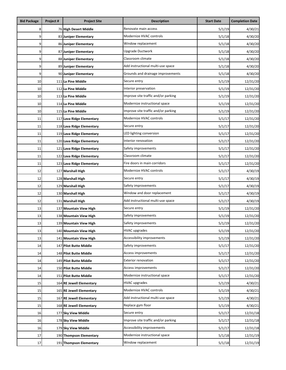| <b>Bid Package</b> | Project #                                                  | <b>Project Site</b>       | <b>Description</b>                  | <b>Start Date</b> | <b>Completion Date</b> |
|--------------------|------------------------------------------------------------|---------------------------|-------------------------------------|-------------------|------------------------|
| 8                  |                                                            | 76 High Desert Middle     | Renovate main access                | 5/1/19            | 4/30/21                |
| 9                  |                                                            | 83 Juniper Elementary     | Modernize HVAC controls             | 5/1/18            | 4/30/20                |
| 9                  |                                                            | 86 Juniper Elementary     | Window replacement                  | 5/1/18            | 4/30/20                |
| 9                  |                                                            | 87 Juniper Elementary     | Upgrade Ductwork                    | 5/1/18            | 4/30/20                |
| 9                  | 88 Juniper Elementary                                      |                           | Classroom climate                   | 5/1/18            | 4/30/20                |
| 9                  | Add instructional multi-use space<br>89 Juniper Elementary |                           |                                     | 5/1/18            | 4/30/20                |
| 9                  |                                                            | 90 Juniper Elementary     | Grounds and drainage improvements   | 5/1/18            | 4/30/20                |
| 10                 |                                                            | 111 La Pine Middle        | Secure entry                        | 5/1/19            | 12/31/20               |
| 10                 |                                                            | 112 La Pine Middle        | Interior preservation               | 5/1/19            | 12/31/20               |
| 10                 |                                                            | 113 La Pine Middle        | Improve site traffic and/or parking | 5/1/19            | 12/31/20               |
| 10                 |                                                            | 114 La Pine Middle        | Modernize instructional space       | 5/1/19            | 12/31/20               |
| 10                 |                                                            | 115 La Pine Middle        | Improve site traffic and/or parking | 5/1/19            | 12/31/20               |
| 11                 |                                                            | 117 Lava Ridge Elementary | Modernize HVAC controls             | 5/1/17            | 12/31/20               |
| 11                 |                                                            | 118 Lava Ridge Elementary | Secure entry                        | 5/1/17            | 12/31/20               |
| 11                 |                                                            | 119 Lava Ridge Elementary | LED lighting conversion             | 5/1/17            | 12/31/20               |
| 11                 |                                                            | 120 Lava Ridge Elementary | Interior renovation                 | 5/1/17            | 12/31/20               |
| 11                 |                                                            | 121 Lava Ridge Elementary | Safety improvements                 | 5/1/17            | 12/31/20               |
| 11                 |                                                            | 122 Lava Ridge Elementary | Classroom climate                   | 5/1/17            | 12/31/20               |
| 11                 |                                                            | 123 Lava Ridge Elementary | Fire doors in main corridors        | 5/1/17            | 12/31/20               |
| 12                 |                                                            | 127 Marshall High         | Modernize HVAC controls             | 5/1/17            | 4/30/19                |
| 12                 |                                                            | 128 Marshall High         | Secure entry                        | 5/1/17            | 4/30/19                |
| 12                 |                                                            | 129 Marshall High         | Safety improvements                 | 5/1/17            | 4/30/19                |
| 12                 |                                                            | 130 Marshall High         | Window and door replacement         | 5/1/17            | 4/30/19                |
| 12                 |                                                            | 131 Marshall High         | Add instructional multi-use space   | 5/1/17            | 4/30/19                |
| 13                 |                                                            | 137 Mountain View High    | Secure entry                        | 5/1/19            | 12/31/20               |
| 13                 |                                                            | 138 Mountain View High    | Safety improvements                 | 5/1/19            | 12/31/20               |
| 13                 |                                                            | 139 Mountain View High    | Safety improvements                 | 5/1/19            | 12/31/20               |
| 13                 |                                                            | 140 Mountain View High    | <b>HVAC</b> upgrades                | 5/1/19            | 12/31/20               |
| 13                 |                                                            | 141 Mountain View High    | Accessibility improvements          | 5/1/19            | 12/31/20               |
| 14                 |                                                            | 147 Pilot Butte Middle    | Safety improvements                 | 5/1/17            | 12/31/20               |
| 14                 |                                                            | 148 Pilot Butte Middle    | Access improvements                 | 5/1/17            | 12/31/20               |
| 14                 |                                                            | 149 Pilot Butte Middle    | <b>Exterior renovation</b>          | 5/1/17            | 12/31/20               |
| 14                 |                                                            | 150 Pilot Butte Middle    | Access improvements                 | 5/1/17            | 12/31/20               |
| 14                 |                                                            | 151 Pilot Butte Middle    | Modernize instructional space       | 5/1/17            | 12/31/20               |
| 15                 |                                                            | 164 RE Jewell Elementary  | <b>HVAC</b> upgrades                | 5/1/19            | 4/30/21                |
| 15                 |                                                            | 165 RE Jewell Elementary  | Modernize HVAC controls             | 5/1/19            | 4/30/21                |
| 15                 |                                                            | 167 RE Jewell Elementary  | Add instructional multi-use space   | 5/1/19            | 4/30/21                |
| 15                 |                                                            | 168 RE Jewell Elementary  | Replace gym floor                   | 5/1/19            | 4/30/21                |
| 16                 |                                                            | 177 Sky View Middle       | Secure entry                        | 5/1/17            | 12/31/18               |
| 16                 |                                                            | 178 Sky View Middle       | Improve site traffic and/or parking | 5/1/17            | 12/31/18               |
| 16                 |                                                            | 179 Sky View Middle       | Accessibility improvements          | 5/1/17            | 12/31/18               |
| 17                 |                                                            | 190 Thompson Elementary   | Modernize instructional space       | 5/1/18            | 12/31/19               |
| 17                 |                                                            | 191 Thompson Elementary   | Window replacement                  | 5/1/18            | 12/31/19               |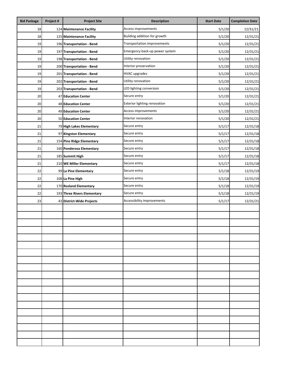| <b>Bid Package</b> | Project # | <b>Project Site</b>         | <b>Description</b>             | <b>Start Date</b> | <b>Completion Date</b> |
|--------------------|-----------|-----------------------------|--------------------------------|-------------------|------------------------|
| 18                 |           | 124 Maintenance Facility    | Access improvements            | 5/1/20            | 12/31/21               |
| 18                 |           | 125 Maintenance Facility    | Building addition for growth   | 5/1/20            | 12/31/21               |
| 19                 |           | 196 Transportation - Bend   | Transportation improvements    | 5/1/20            | 12/31/21               |
| 19                 |           | 197 Transportation - Bend   | Emergency back-up power system | 5/1/20            | 12/31/21               |
| 19                 |           | 198 Transportation - Bend   | Utility renovation             | 5/1/20            | 12/31/21               |
| 19                 |           | 200 Transportation - Bend   | Interior preservation          | 5/1/20            | 12/31/21               |
| 19                 |           | 201 Transportation - Bend   | <b>HVAC upgrades</b>           | 5/1/20            | 12/31/21               |
| 19                 |           | 202 Transportation - Bend   | Utility renovation             | 5/1/20            | 12/31/21               |
| 19                 |           | 203 Transportation - Bend   | LED lighting conversion        | 5/1/20            | 12/31/21               |
| 20                 |           | 47 Education Center         | Secure entry                   | 5/1/20            | 12/31/21               |
| 20                 |           | <b>48 Education Center</b>  | Exterior lighting renovation   | 5/1/20            | 12/31/21               |
| 20                 |           | 49 Education Center         | Access improvements            | 5/1/20            | 12/31/21               |
| 20                 |           | 50 Education Center         | Interior renovation            | 5/1/20            | 12/31/21               |
| 21                 |           | 79 High Lakes Elementary    | Secure entry                   | 5/1/17            | 12/31/18               |
| 21                 |           | 97 Kingston Elementary      | Secure entry                   | 5/1/17            | 12/31/18               |
| 21                 |           | 154 Pine Ridge Elementary   | Secure entry                   | 5/1/17            | 12/31/18               |
| 21                 |           | 160 Ponderosa Elementary    | Secure entry                   | 5/1/17            | 12/31/18               |
| 21                 |           | 185 Summit High             | Secure entry                   | 5/1/17            | 12/31/18               |
| 21                 |           | 210 WE Miller Elementary    | Secure entry                   | 5/1/17            | 12/31/18               |
| 22                 |           | 99 La Pine Elementary       | Secure entry                   | 5/1/18            | 12/31/19               |
| 22                 |           | 108 La Pine High            | Secure entry                   | 5/1/18            | 12/31/19               |
| 22                 |           | 170 Rosland Elementary      | Secure entry                   | 5/1/18            | 12/31/19               |
| 22                 |           | 193 Three Rivers Elementary | Secure entry                   | 5/1/18            | 12/31/19               |
| 23                 |           | 43 District-Wide Projects   | Accessibility improvements     | 5/1/17            | 12/31/21               |
|                    |           |                             |                                |                   |                        |
|                    |           |                             |                                |                   |                        |
|                    |           |                             |                                |                   |                        |
|                    |           |                             |                                |                   |                        |
|                    |           |                             |                                |                   |                        |
|                    |           |                             |                                |                   |                        |
|                    |           |                             |                                |                   |                        |
|                    |           |                             |                                |                   |                        |
|                    |           |                             |                                |                   |                        |
|                    |           |                             |                                |                   |                        |
|                    |           |                             |                                |                   |                        |
|                    |           |                             |                                |                   |                        |
|                    |           |                             |                                |                   |                        |
|                    |           |                             |                                |                   |                        |
|                    |           |                             |                                |                   |                        |
|                    |           |                             |                                |                   |                        |
|                    |           |                             |                                |                   |                        |
|                    |           |                             |                                |                   |                        |
|                    |           |                             |                                |                   |                        |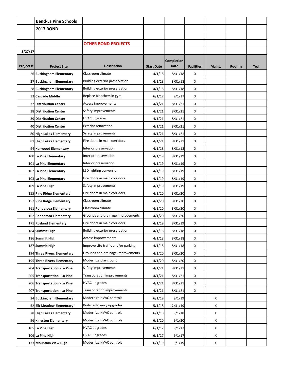|           | <b>Bend-La Pine Schools</b>   |                                     |                   |                   |                   |        |         |      |
|-----------|-------------------------------|-------------------------------------|-------------------|-------------------|-------------------|--------|---------|------|
|           | <b>2017 BOND</b>              |                                     |                   |                   |                   |        |         |      |
|           |                               |                                     |                   |                   |                   |        |         |      |
|           |                               | <b>OTHER BOND PROJECTS</b>          |                   |                   |                   |        |         |      |
| 3/27/17   |                               |                                     |                   |                   |                   |        |         |      |
|           |                               |                                     |                   | <b>Completion</b> |                   |        |         |      |
| Project # | <b>Project Site</b>           | <b>Description</b>                  | <b>Start Date</b> | <b>Date</b>       | <b>Facilities</b> | Maint. | Roofing | Tech |
|           | 26 Buckingham Elementary      | Classroom climate                   | 4/1/18            | 8/31/18           | Χ                 |        |         |      |
|           | 27 Buckingham Elementary      | Building exterior preservation      | 4/1/18            | 8/31/18           | X                 |        |         |      |
|           | 28 Buckingham Elementary      | Building exterior preservation      | 4/1/18            | 8/31/18           | X                 |        |         |      |
|           | 33 Cascade Middle             | Replace bleachers in gym            | 6/1/17            | 9/1/17            | X                 |        |         |      |
|           | 37 Distribution Center        | Access improvements                 | 4/1/21            | 8/31/21           | X                 |        |         |      |
|           | <b>38 Distribution Center</b> | Safety improvements                 | 4/1/21            | 8/31/21           | X                 |        |         |      |
|           | <b>39 Distribution Center</b> | <b>HVAC</b> upgrades                | 4/1/21            | 8/31/21           | X                 |        |         |      |
|           | 40 Distribution Center        | <b>Exterior renovation</b>          | 4/1/21            | 8/31/21           | X                 |        |         |      |
|           | 80 High Lakes Elementary      | Safety improvements                 | 4/1/21            | 8/31/21           | X                 |        |         |      |
|           | 81 High Lakes Elementary      | Fire doors in main corridors        | 4/1/21            | 8/31/21           | X                 |        |         |      |
|           | 94 Kenwood Elementary         | Interior preservation               | 4/1/18            | 8/31/18           | X                 |        |         |      |
|           | 100 La Pine Elementary        | Interior preservation               | 4/1/19            | 8/31/19           | X                 |        |         |      |
|           | 101 La Pine Elementary        | Interior preservation               | 4/1/19            | 8/31/19           | X                 |        |         |      |
|           | 102 La Pine Elementary        | LED lighting conversion             | 4/1/19            | 8/31/19           | X                 |        |         |      |
|           | 103 La Pine Elementary        | Fire doors in main corridors        | 4/1/19            | 8/31/19           | X                 |        |         |      |
|           | 109 La Pine High              | Safety improvements                 | 4/1/19            | 8/31/19           | X                 |        |         |      |
|           | 155 Pine Ridge Elementary     | Fire doors in main corridors        | 4/1/20            | 8/31/20           | X                 |        |         |      |
|           | 157 Pine Ridge Elementary     | Classroom climate                   | 4/1/20            | 8/31/20           | X                 |        |         |      |
|           | 161 Ponderosa Elementary      | Classroom climate                   | 4/1/20            | 8/31/20           | X                 |        |         |      |
|           | 162 Ponderosa Elementary      | Grounds and drainage improvements   | 4/1/20            | 8/31/20           | Χ                 |        |         |      |
|           | 171 Rosland Elementary        | Fire doors in main corridors        | 4/1/19            | 8/31/19           | X                 |        |         |      |
|           | 184 Summit High               | Building exterior preservation      | 4/1/18            | 8/31/18           | X                 |        |         |      |
|           | 186 Summit High               | Access improvements                 | 4/1/18            | 8/31/18           | X                 |        |         |      |
|           | 187 Summit High               | Improve site traffic and/or parking | 4/1/18            | 8/31/18           | X                 |        |         |      |
|           | 194 Three Rivers Elementary   | Grounds and drainage improvements   | 4/1/20            | 8/31/20           | X                 |        |         |      |
|           | 195 Three Rivers Elementary   | Modernize playground                | 4/1/20            | 8/31/20           | X                 |        |         |      |
|           | 204 Transportation - La Pine  | Safety improvements                 | 4/1/21            | 8/31/21           | X                 |        |         |      |
|           | 205 Transportation - La Pine  | Transporation improvements          | 4/1/21            | 8/31/21           | X                 |        |         |      |
|           | 206 Transportation - La Pine  | <b>HVAC</b> upgrades                | 4/1/21            | 8/31/21           | X                 |        |         |      |
|           | 207 Transportation - La Pine  | Transporation improvements          | 4/1/21            | 8/31/21           | X                 |        |         |      |
|           | 24 Buckingham Elementary      | Modernize HVAC controls             | 6/1/19            | 9/1/19            |                   | X      |         |      |
|           | 52 Elk Meadow Elementary      | Boiler efficiency upgrades          | 5/1/18            | 12/31/19          |                   | X      |         |      |
|           | 78 High Lakes Elementary      | Modernize HVAC controls             | 6/1/18            | 9/1/18            |                   | X      |         |      |
|           | 96 Kingston Elementary        | Modernize HVAC controls             | 6/1/20            | 9/1/20            |                   | X      |         |      |
|           | 105 La Pine High              | <b>HVAC upgrades</b>                | 6/1/17            | 9/1/17            |                   | X      |         |      |
|           | 106 La Pine High              | <b>HVAC</b> upgrades                | 6/1/17            | 9/1/17            |                   | X      |         |      |
|           | 133 Mountain View High        | Modernize HVAC controls             | 6/1/19            | 9/1/19            |                   | X      |         |      |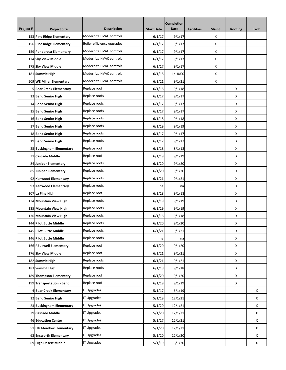| Project # | <b>Project Site</b>        | <b>Description</b>         | <b>Start Date</b> | <b>Completion</b><br>Date | <b>Facilities</b> | Maint. | <b>Roofing</b> | <b>Tech</b> |
|-----------|----------------------------|----------------------------|-------------------|---------------------------|-------------------|--------|----------------|-------------|
|           | 153 Pine Ridge Elementary  | Modernize HVAC controls    | 6/1/17            | 9/1/17                    |                   | X      |                |             |
|           | 156 Pine Ridge Elementary  | Boiler efficiency upgrades | 6/1/17            | 9/1/17                    |                   | X      |                |             |
|           | 159 Ponderosa Elementary   | Modernize HVAC controls    | 6/1/17            | 9/1/17                    |                   | X      |                |             |
|           | 174 Sky View Middle        | Modernize HVAC controls    | 6/1/17            | 9/1/17                    |                   | X      |                |             |
|           | 175 Sky View Middle        | Modernize HVAC controls    | 6/1/17            | 9/1/17                    |                   | X      |                |             |
|           | 181 Summit High            | Modernize HVAC controls    | 6/1/18            | 1/18/00                   |                   | X      |                |             |
|           | 209 WE Miller Elementary   | Modernize HVAC controls    | 6/1/21            | 9/1/21                    |                   | X      |                |             |
|           | 5 Bear Creek Elementary    | Replace roof               | 6/1/18            | 9/1/18                    |                   |        | x              |             |
|           | 13 Bend Senior High        | Replace roofs              | 6/1/17            | 9/1/17                    |                   |        | X              |             |
|           | 14 Bend Senior High        | Replace roofs              | 6/1/17            | 9/1/17                    |                   |        | x              |             |
|           | 15 Bend Senior High        | Replace roofs              | 6/1/17            | 9/1/17                    |                   |        | x              |             |
|           | 16 Bend Senior High        | Replace roofs              | 6/1/18            | 9/1/18                    |                   |        | X              |             |
|           | 17 Bend Senior High        | Replace roofs              | 6/1/19            | 9/1/19                    |                   |        | Х              |             |
|           | 18 Bend Senior High        | Replace roofs              | 6/1/17            | 9/1/17                    |                   |        | x              |             |
|           | 19 Bend Senior High        | Replace roofs              | 6/1/17            | 9/1/17                    |                   |        | X              |             |
|           | 25 Buckingham Elementary   | Replace roof               | 6/1/18            | 8/1/18                    |                   |        | Х              |             |
|           | 31 Cascade Middle          | Replace roof               | 6/1/19            | 9/1/19                    |                   |        | х              |             |
|           | 84 Juniper Elementary      | Replace roofs              | 6/1/20            | 9/1/20                    |                   |        | X              |             |
|           | 85 Juniper Elementary      | Replace roofs              | 6/1/20            | 9/1/20                    |                   |        | Х              |             |
|           | 92 Kenwood Elementary      | Replace roofs              | 6/1/21            | 9/1/21                    |                   |        | х              |             |
|           | 93 Kenwood Elementary      | Replace roofs              | na                | na                        |                   |        | X              |             |
|           | 107 La Pine High           | Replace roof               | 6/1/18            | 9/1/18                    |                   |        | Х              |             |
|           | 134 Mountain View High     | Replace roofs              | 6/1/19            | 9/1/19                    |                   |        | x              |             |
|           | 135 Mountain View High     | Replace roofs              | 6/1/19            | 9/1/19                    |                   |        | X              |             |
|           | 136 Mountain View High     | Replace roofs              | 6/1/18            | 9/1/18                    |                   |        | х              |             |
|           | 144 Pilot Butte Middle     | Replace roofs              | 6/1/20            | 9/1/20                    |                   |        | Х              |             |
|           | 145 Pilot Butte Middle     | Replace roofs              | 6/1/21            | 9/1/21                    |                   |        | X              |             |
|           | 146 Pilot Butte Middle     | Replace roofs              | na                | na                        |                   |        | X              |             |
|           | 166 RE Jewell Elementary   | Replace roof               | 6/1/20            | 9/1/20                    |                   |        | Х              |             |
|           | 176 Sky View Middle        | Replace roof               | 6/1/21            | 9/1/21                    |                   |        | X              |             |
|           | 182 Summit High            | Replace roofs              | 6/1/21            | 9/1/21                    |                   |        | X              |             |
|           | 183 Summit High            | Replace roofs              | 6/1/18            | 9/1/18                    |                   |        | Х              |             |
|           | 189 Thompson Elementary    | Replace roof               | 6/1/20            | 9/1/20                    |                   |        | X              |             |
|           | 199 Transportation - Bend  | Replace roof               | 6/1/19            | 9/1/19                    |                   |        | X              |             |
|           | 4 Bear Creek Elementary    | <b>IT Upgrades</b>         | 5/1/17            | 6/1/19                    |                   |        |                | X           |
|           | 12 Bend Senior High        | <b>IT Upgrades</b>         | 5/1/19            | 12/1/21                   |                   |        |                | X           |
|           | 23 Buckingham Elementary   | <b>IT Upgrades</b>         | 5/1/20            | 12/1/21                   |                   |        |                | X           |
|           | 29 Cascade Middle          | <b>IT Upgrades</b>         | 5/1/20            | 12/1/21                   |                   |        |                | X           |
|           | <b>46 Education Center</b> | <b>IT Upgrades</b>         | 5/1/17            | 12/1/21                   |                   |        |                | X           |
|           | 51 Elk Meadow Elementary   | <b>IT Upgrades</b>         | 5/1/20            | 12/1/21                   |                   |        |                | X           |
|           | 62 Ensworth Elementary     | <b>IT Upgrades</b>         | 5/1/20            | 12/1/20                   |                   |        |                | X           |
|           | 69 High Desert Middle      | <b>IT Upgrades</b>         | 5/1/19            | 6/1/20                    |                   |        |                | X           |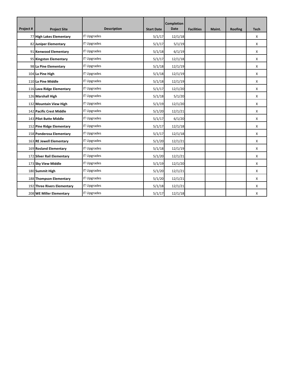|           |                             |                    |                   | <b>Completion</b> |                   |        |         |             |
|-----------|-----------------------------|--------------------|-------------------|-------------------|-------------------|--------|---------|-------------|
| Project # | <b>Project Site</b>         | <b>Description</b> | <b>Start Date</b> | <b>Date</b>       | <b>Facilities</b> | Maint. | Roofing | <b>Tech</b> |
|           | 77 High Lakes Elementary    | <b>IT Upgrades</b> | 5/1/17            | 12/1/18           |                   |        |         | X           |
|           | 82 Juniper Elementary       | <b>IT Upgrades</b> | 5/1/17            | 5/1/19            |                   |        |         | X           |
|           | 91 Kenwood Elementary       | <b>IT Upgrades</b> | 5/1/18            | 6/1/19            |                   |        |         | X           |
|           | 95 Kingston Elementary      | <b>IT Upgrades</b> | 5/1/17            | 12/1/18           |                   |        |         | X           |
|           | 98 La Pine Elementary       | <b>IT Upgrades</b> | 5/1/18            | 12/1/19           |                   |        |         | X           |
|           | 104 La Pine High            | <b>IT Upgrades</b> | 5/1/18            | 12/1/19           |                   |        |         | X           |
|           | 110 La Pine Middle          | <b>IT Upgrades</b> | 5/1/18            | 12/1/19           |                   |        |         | X           |
|           | 116 Lava Ridge Elementary   | <b>IT Upgrades</b> | 5/1/17            | 12/1/20           |                   |        |         | X           |
|           | 126 Marshall High           | <b>IT Upgrades</b> | 5/1/18            | 5/1/20            |                   |        |         | X           |
|           | 132 Mountain View High      | <b>IT Upgrades</b> | 5/1/19            | 12/1/20           |                   |        |         | X           |
|           | 142 Pacific Crest Middle    | <b>IT Upgrades</b> | 5/1/20            | 12/1/21           |                   |        |         | X           |
|           | 143 Pilot Butte Middle      | <b>IT Upgrades</b> | 5/1/17            | 6/1/20            |                   |        |         | X           |
|           | 152 Pine Ridge Elementary   | <b>IT Upgrades</b> | 5/1/17            | 12/1/18           |                   |        |         | X           |
|           | 158 Ponderosa Elementary    | <b>IT Upgrades</b> | 5/1/17            | 12/1/18           |                   |        |         | X           |
|           | 163 RE Jewell Elementary    | <b>IT Upgrades</b> | 5/1/20            | 12/1/21           |                   |        |         | X           |
|           | 169 Rosland Elementary      | <b>IT Upgrades</b> | 5/1/18            | 12/1/19           |                   |        |         | X           |
|           | 172 Silver Rail Elementary  | <b>IT Upgrades</b> | 5/1/20            | 12/1/21           |                   |        |         | X           |
|           | 173 Sky View Middle         | <b>IT Upgrades</b> | 5/1/19            | 12/1/20           |                   |        |         | X           |
|           | 180 Summit High             | <b>IT Upgrades</b> | 5/1/20            | 12/1/21           |                   |        |         | X           |
|           | 188 Thompson Elementary     | <b>IT Upgrades</b> | 5/1/20            | 12/1/21           |                   |        |         | X           |
|           | 192 Three Rivers Elementary | <b>IT Upgrades</b> | 5/1/18            | 12/1/21           |                   |        |         | X           |
|           | 208 WE Miller Elementary    | <b>IT Upgrades</b> | 5/1/17            | 12/1/18           |                   |        |         | X           |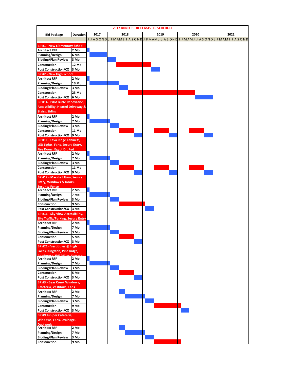|                                                      |                 |      |      |  | <b>2017 BOND PROJECT MASTER SCHEDULE</b> |      |                                                                                               |
|------------------------------------------------------|-----------------|------|------|--|------------------------------------------|------|-----------------------------------------------------------------------------------------------|
| <b>Bid Package</b>                                   | <b>Duration</b> | 2017 | 2018 |  | 2019                                     | 2020 | 2021                                                                                          |
|                                                      |                 |      |      |  |                                          |      | J J A SON DI J F MAM J J A SON DI F MAM J J A SON DI J F MAM J J A SON DI J F MAM J J A SON D |
| <b>BP #1 - New Elementary School</b>                 |                 |      |      |  |                                          |      |                                                                                               |
| <b>Architect RFP</b>                                 | 2 Mo            |      |      |  |                                          |      |                                                                                               |
| <b>Planning/Design</b>                               | 6 Mo            |      |      |  |                                          |      |                                                                                               |
| <b>Bidding/Plan Review</b>                           | 3 Mo            |      |      |  |                                          |      |                                                                                               |
| Construction                                         | 12 Mo           |      |      |  |                                          |      |                                                                                               |
| Post Construction/CX 3 Mo                            |                 |      |      |  |                                          |      |                                                                                               |
| <b>BP #2 - New High School</b>                       |                 |      |      |  |                                          |      |                                                                                               |
| <b>Architect RFP</b>                                 | 2 Mo            |      |      |  |                                          |      |                                                                                               |
| <b>Planning/Design</b>                               | 10 Mo           |      |      |  |                                          |      |                                                                                               |
| <b>Bidding/Plan Review</b><br>Construction           | 3 Mo<br>23 Mo   |      |      |  |                                          |      |                                                                                               |
| Post Construction/CX 6 Mo                            |                 |      |      |  |                                          |      |                                                                                               |
| <b>BP #14 - Pilot Butte Renovation,</b>              |                 |      |      |  |                                          |      |                                                                                               |
| <b>Accessibility, Heated Driveway &amp;</b>          |                 |      |      |  |                                          |      |                                                                                               |
| <b>Stairs, Siding</b>                                |                 |      |      |  |                                          |      |                                                                                               |
| <b>Architect RFP</b>                                 | 2 Mo            |      |      |  |                                          |      |                                                                                               |
| <b>Planning/Design</b>                               | 7 Mo            |      |      |  |                                          |      |                                                                                               |
| <b>Bidding/Plan Review</b>                           | 3 Mo            |      |      |  |                                          |      |                                                                                               |
| Construction                                         | 11 Mo           |      |      |  |                                          |      |                                                                                               |
| Post Construction/CX 9 Mo                            |                 |      |      |  |                                          |      |                                                                                               |
| BP #11 - Lava Ridge Cabinets,                        |                 |      |      |  |                                          |      |                                                                                               |
| LED Lights, Fans, Secure Entry,                      |                 |      |      |  |                                          |      |                                                                                               |
| Fire Doors, Egypt Dr. Ped<br><b>Architect RFP</b>    | 2 Mo            |      |      |  |                                          |      |                                                                                               |
| <b>Planning/Design</b>                               | 7 Mo            |      |      |  |                                          |      |                                                                                               |
| <b>Bidding/Plan Review</b>                           | 3 Mo            |      |      |  |                                          |      |                                                                                               |
| Construction                                         | 11 Mo           |      |      |  |                                          |      |                                                                                               |
| Post Construction/CX 9 Mo                            |                 |      |      |  |                                          |      |                                                                                               |
| BP #12 - Marshall Gym, Secure                        |                 |      |      |  |                                          |      |                                                                                               |
| <b>Entry, Windows &amp; Doors,</b>                   |                 |      |      |  |                                          |      |                                                                                               |
| <b>Security Fence</b><br><b>Architect RFP</b>        | 2 Mo            |      |      |  |                                          |      |                                                                                               |
| <b>Planning/Design</b>                               | 7 Mo            |      |      |  |                                          |      |                                                                                               |
| <b>Bidding/Plan Review</b>                           | 3 Mo            |      |      |  |                                          |      |                                                                                               |
| Construction                                         | 9 Mo            |      |      |  |                                          |      |                                                                                               |
| Post Construction/CX 3 Mo                            |                 |      |      |  |                                          |      |                                                                                               |
| BP #16 - Sky View Accessibility,                     |                 |      |      |  |                                          |      |                                                                                               |
| <b>Site Traffic/Parking, Secure Entry</b>            |                 |      |      |  |                                          |      |                                                                                               |
| <b>Architect RFP</b>                                 | 2 Mo            |      |      |  |                                          |      |                                                                                               |
| <b>Planning/Design</b>                               | 7 Mo            |      |      |  |                                          |      |                                                                                               |
| <b>Bidding/Plan Review</b>                           | 3 Mo<br>5 Mo    |      |      |  |                                          |      |                                                                                               |
| Construction<br><b>Post Construction/CX</b>          | 3 Mo            |      |      |  |                                          |      |                                                                                               |
| BP #21 - Vestibules @ High                           |                 |      |      |  |                                          |      |                                                                                               |
| Lakes, Kingston, Pine Ridge,                         |                 |      |      |  |                                          |      |                                                                                               |
| Ponderosa WF Miller Summit                           |                 |      |      |  |                                          |      |                                                                                               |
| <b>Architect RFP</b>                                 | 2 Mo            |      |      |  |                                          |      |                                                                                               |
| <b>Planning/Design</b><br><b>Bidding/Plan Review</b> | 7 Mo<br>3 Mo    |      |      |  |                                          |      |                                                                                               |
| Construction                                         | 5 Mo            |      |      |  |                                          |      |                                                                                               |
| <b>Post Construction/CX</b>                          | 3 Mo            |      |      |  |                                          |      |                                                                                               |
| <b>BP #3 - Bear Creek Windows,</b>                   |                 |      |      |  |                                          |      |                                                                                               |
| <b>Cafeteria, Vestibule, Fans</b>                    |                 |      |      |  |                                          |      |                                                                                               |
| <b>Architect RFP</b>                                 | 2 Mo            |      |      |  |                                          |      |                                                                                               |
| <b>Planning/Design</b>                               | 7 Mo            |      |      |  |                                          |      |                                                                                               |
| <b>Bidding/Plan Review</b>                           | 3 Mo            |      |      |  |                                          |      |                                                                                               |
| Construction                                         | 9 Mo            |      |      |  |                                          |      |                                                                                               |
| Post Construction/CX 3 Mo                            |                 |      |      |  |                                          |      |                                                                                               |
| <b>BP #9 Juniper Cafeteria,</b>                      |                 |      |      |  |                                          |      |                                                                                               |
| <b>Windows, Fans, Drainage,</b>                      |                 |      |      |  |                                          |      |                                                                                               |
| <b>Ductwork</b><br><b>Architect RFP</b>              | 2 Mo            |      |      |  |                                          |      |                                                                                               |
| <b>Planning/Design</b>                               | 7 Mo            |      |      |  |                                          |      |                                                                                               |
| <b>Bidding/Plan Review</b>                           | 3 Mo            |      |      |  |                                          |      |                                                                                               |
| Construction                                         | 9 Mo            |      |      |  |                                          |      |                                                                                               |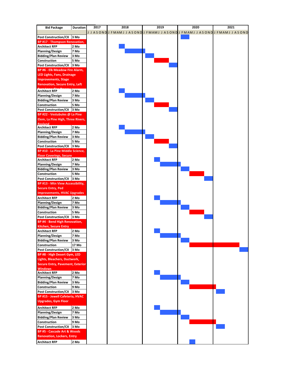| <b>Bid Package</b>                      | <b>Duration</b> | 2017 | 2018 | 2019                                                                         | 2020 | 2021 |
|-----------------------------------------|-----------------|------|------|------------------------------------------------------------------------------|------|------|
|                                         |                 |      |      | J A SOND J FMAMI J A SOND J FMAMI J A SOND J FMAMI J A SOND J FMAMI J A SOND |      |      |
| Post Construction/CX 3 Mo               |                 |      |      |                                                                              |      |      |
| <b>BP #17 - Thompson Renovation,</b>    |                 |      |      |                                                                              |      |      |
| <b>Architect RFP</b>                    | 2 Mo            |      |      |                                                                              |      |      |
| <b>Planning/Design</b>                  | 7 Mo            |      |      |                                                                              |      |      |
| <b>Bidding/Plan Review</b>              | 3 Mo            |      |      |                                                                              |      |      |
| Construction                            | 5 Mo            |      |      |                                                                              |      |      |
| Post Construction/CX 3 Mo               |                 |      |      |                                                                              |      |      |
| BP #6 - Elk Meadow Fire Alarm,          |                 |      |      |                                                                              |      |      |
| <b>LED Lights, Fans, Drainage</b>       |                 |      |      |                                                                              |      |      |
| <b>Improvements, Stage</b>              |                 |      |      |                                                                              |      |      |
| <b>Renovation, Secure Entry, Left</b>   |                 |      |      |                                                                              |      |      |
| <b>Architect RFP</b>                    | 2 Mo            |      |      |                                                                              |      |      |
| <b>Planning/Design</b>                  | 7 Mo            |      |      |                                                                              |      |      |
| <b>Bidding/Plan Review</b>              | 3 Mo            |      |      |                                                                              |      |      |
| Construction                            | 5 Mo            |      |      |                                                                              |      |      |
| Post Construction/CX 3 Mo               |                 |      |      |                                                                              |      |      |
| BP #22 - Vestubules @ La Pine           |                 |      |      |                                                                              |      |      |
| Elem, La Pine High, Three Rivers,       |                 |      |      |                                                                              |      |      |
| <b>Rosland</b>                          |                 |      |      |                                                                              |      |      |
| <b>Architect RFP</b>                    | 2 Mo            |      |      |                                                                              |      |      |
| <b>Planning/Design</b>                  | 7 Mo            |      |      |                                                                              |      |      |
| <b>Bidding/Plan Review</b>              | 3 Mo            |      |      |                                                                              |      |      |
| Construction                            | 5 Mo            |      |      |                                                                              |      |      |
| Post Construction/CX 3 Mo               |                 |      |      |                                                                              |      |      |
| BP #10 - La Pine Middle Science,        |                 |      |      |                                                                              |      |      |
| <b>Floor Coverings, Secure</b>          |                 |      |      |                                                                              |      |      |
| <b>Architect RFP</b>                    | 2 Mo            |      |      |                                                                              |      |      |
| <b>Planning/Design</b>                  | 7 Mo            |      |      |                                                                              |      |      |
| <b>Bidding/Plan Review</b>              | 3 Mo            |      |      |                                                                              |      |      |
| Construction                            | 5 Mo            |      |      |                                                                              |      |      |
| Post Construction/CX 3 Mo               |                 |      |      |                                                                              |      |      |
| <b>BP #13 - Mtn View Accessibility,</b> |                 |      |      |                                                                              |      |      |
| <b>Secure Entry, Ped</b>                |                 |      |      |                                                                              |      |      |
| <b>Improvements, HVAC Upgrades</b>      |                 |      |      |                                                                              |      |      |
| <b>Architect RFP</b>                    | 2 Mo            |      |      |                                                                              |      |      |
| <b>Planning/Design</b>                  | 7 Mo            |      |      |                                                                              |      |      |
| <b>Bidding/Plan Review</b>              | 3 Mo            |      |      |                                                                              |      |      |
| Construction                            | 5 Mo            |      |      |                                                                              |      |      |
| Post Construction/CX 3 Mo               |                 |      |      |                                                                              |      |      |
| BP #4 - Bend High Renovation,           |                 |      |      |                                                                              |      |      |
| <b>Kitchen, Secure Entry</b>            |                 |      |      |                                                                              |      |      |
| <b>Architect RFP</b>                    | 2 Mo            |      |      |                                                                              |      |      |
| <b>Planning/Design</b>                  | 7 Mo            |      |      |                                                                              |      |      |
| <b>Bidding/Plan Review</b>              | 3 Mo            |      |      |                                                                              |      |      |
| Construction                            | 17 Mo           |      |      |                                                                              |      |      |
| Post Construction/CX 3 Mo               |                 |      |      |                                                                              |      |      |
| BP #8 - High Desert Gym, LED            |                 |      |      |                                                                              |      |      |
| Lights, Bleachers, Ductwork,            |                 |      |      |                                                                              |      |      |
| <b>Secure Entry, Pavement, Exterior</b> |                 |      |      |                                                                              |      |      |
| <b>Windows</b>                          |                 |      |      |                                                                              |      |      |
| <b>Architect RFP</b>                    | 2 Mo            |      |      |                                                                              |      |      |
| <b>Planning/Design</b>                  | 7 Mo            |      |      |                                                                              |      |      |
| <b>Bidding/Plan Review</b>              | 3 Mo            |      |      |                                                                              |      |      |
| Construction                            | 9 Mo            |      |      |                                                                              |      |      |
| Post Construction/CX 3 Mo               |                 |      |      |                                                                              |      |      |
| <b>BP #15 - Jewell Cafeteria, HVAC</b>  |                 |      |      |                                                                              |      |      |
| <b>Upgrades, Gym Floor</b>              |                 |      |      |                                                                              |      |      |
| <b>Architect RFP</b>                    | 2 Mo            |      |      |                                                                              |      |      |
| <b>Planning/Design</b>                  | 7 Mo            |      |      |                                                                              |      |      |
| <b>Bidding/Plan Review</b>              | 3 Mo            |      |      |                                                                              |      |      |
| Construction                            | 9 Mo            |      |      |                                                                              |      |      |
| Post Construction/CX 3 Mo               |                 |      |      |                                                                              |      |      |
| BP #5 - Cascade Art & Woods             |                 |      |      |                                                                              |      |      |
| <b>Renovation, Lockers, Entry</b>       |                 |      |      |                                                                              |      |      |
|                                         |                 |      |      |                                                                              |      |      |
| <b>Architect RFP</b>                    | 2 Mo            |      |      |                                                                              |      |      |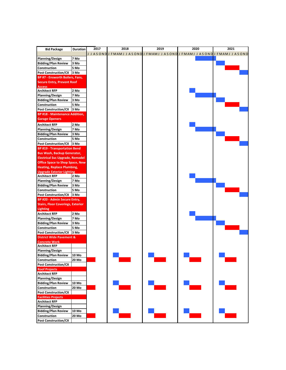| <b>Bid Package</b>                       | <b>Duration</b>   | 2017 | 2018 | 2019 | 2020                                                                      | 2021 |
|------------------------------------------|-------------------|------|------|------|---------------------------------------------------------------------------|------|
|                                          |                   |      |      |      | J J ASONDIJ FMAMJ J ASONDIJ FMAMJ J ASONDIJ FMAMJ J ASONDIJ FMAMJ J ASOND |      |
| <b>Planning/Design</b>                   | 7 Mo              |      |      |      |                                                                           |      |
| <b>Bidding/Plan Review</b>               | 3 Mo              |      |      |      |                                                                           |      |
|                                          |                   |      |      |      |                                                                           |      |
| Construction                             | 5 Mo              |      |      |      |                                                                           |      |
| Post Construction/CX 3 Mo                |                   |      |      |      |                                                                           |      |
| BP #7 - Ensworth Boilers, Fans,          |                   |      |      |      |                                                                           |      |
| <b>Secure Entry, Prevent Roof</b>        |                   |      |      |      |                                                                           |      |
| <b>Access</b><br><b>Architect RFP</b>    | 2 Mo              |      |      |      |                                                                           |      |
| <b>Planning/Design</b>                   | 7 Mo              |      |      |      |                                                                           |      |
| <b>Bidding/Plan Review</b>               | 3 Mo              |      |      |      |                                                                           |      |
| Construction                             | 5 Mo              |      |      |      |                                                                           |      |
| Post Construction/CX 3 Mo                |                   |      |      |      |                                                                           |      |
| <b>BP #18 - Maintenance Addition,</b>    |                   |      |      |      |                                                                           |      |
| <b>Garage Openers</b>                    |                   |      |      |      |                                                                           |      |
|                                          |                   |      |      |      |                                                                           |      |
| <b>Architect RFP</b>                     | 2 Mo              |      |      |      |                                                                           |      |
| <b>Planning/Design</b>                   | 7 Mo              |      |      |      |                                                                           |      |
| <b>Bidding/Plan Review</b>               | 3 Mo              |      |      |      |                                                                           |      |
| Construction                             | 5 Mo              |      |      |      |                                                                           |      |
| Post Construction/CX 3 Mo                |                   |      |      |      |                                                                           |      |
| <b>BP #19 - Transportation Bend</b>      |                   |      |      |      |                                                                           |      |
| <b>Bus Wash, Backup Generator,</b>       |                   |      |      |      |                                                                           |      |
| <b>Electrical Svc Upgrade, Remodel</b>   |                   |      |      |      |                                                                           |      |
| <b>Office Space to Shop Space, New</b>   |                   |      |      |      |                                                                           |      |
| <b>Heating, Replace Plumbing,</b>        |                   |      |      |      |                                                                           |      |
| <b>Upgrade Exterior Lighting</b>         |                   |      |      |      |                                                                           |      |
| <b>Architect RFP</b>                     | 2 Mo              |      |      |      |                                                                           |      |
| <b>Planning/Design</b>                   | 7 Mo              |      |      |      |                                                                           |      |
| <b>Bidding/Plan Review</b>               | 3 Mo              |      |      |      |                                                                           |      |
| Construction                             | 5 Mo              |      |      |      |                                                                           |      |
| Post Construction/CX 3 Mo                |                   |      |      |      |                                                                           |      |
| BP #20 - Admin Secure Entry,             |                   |      |      |      |                                                                           |      |
| <b>Stairs, Floor Coverings, Exterior</b> |                   |      |      |      |                                                                           |      |
| <b>Lighting</b>                          |                   |      |      |      |                                                                           |      |
| <b>Architect RFP</b>                     | 2 Mo              |      |      |      |                                                                           |      |
| <b>Planning/Design</b>                   | 7 Mo              |      |      |      |                                                                           |      |
| <b>Bidding/Plan Review</b>               | 3 Mo              |      |      |      |                                                                           |      |
| Construction                             | 5 Mo              |      |      |      |                                                                           |      |
| Post Construction/CX 3 Mo                |                   |      |      |      |                                                                           |      |
| <b>District Wide Pavement &amp;</b>      |                   |      |      |      |                                                                           |      |
| <b>Concrete Work</b>                     |                   |      |      |      |                                                                           |      |
| <b>Architect RFP</b>                     |                   |      |      |      |                                                                           |      |
| <b>Planning/Design</b>                   |                   |      |      |      |                                                                           |      |
| Bidding/Plan Review 10 Mo                |                   |      |      |      |                                                                           |      |
| Construction                             | 20 Mo             |      |      |      |                                                                           |      |
| <b>Post Construction/CX</b>              |                   |      |      |      |                                                                           |      |
| <b>Roof Projects</b>                     |                   |      |      |      |                                                                           |      |
| <b>Architect RFP</b>                     |                   |      |      |      |                                                                           |      |
| <b>Planning/Design</b>                   |                   |      |      |      |                                                                           |      |
| <b>Bidding/Plan Review</b>               | 10 Mo             |      |      |      |                                                                           |      |
| Construction                             | $20\ \mathrm{Mo}$ |      |      |      |                                                                           |      |
| <b>Post Construction/CX</b>              |                   |      |      |      |                                                                           |      |
| <b>Facilities Projects</b>               |                   |      |      |      |                                                                           |      |
| <b>Architect RFP</b>                     |                   |      |      |      |                                                                           |      |
| <b>Planning/Design</b>                   |                   |      |      |      |                                                                           |      |
| <b>Bidding/Plan Review</b>               | 10 Mo             |      |      |      |                                                                           |      |
| Construction                             | 20 Mo             |      |      |      |                                                                           |      |
| <b>Post Construction/CX</b>              |                   |      |      |      |                                                                           |      |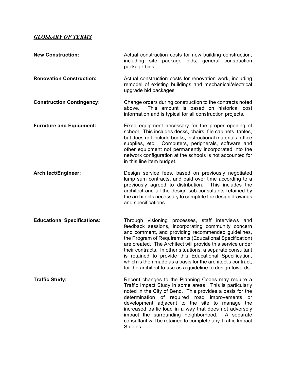## *GLOSSARY OF TERMS*

| <b>New Construction:</b>           | Actual construction costs for new building construction,<br>including site<br>package bids, general construction<br>package bids.                                                                                                                                                                                                                                                                                                                                                                                                            |
|------------------------------------|----------------------------------------------------------------------------------------------------------------------------------------------------------------------------------------------------------------------------------------------------------------------------------------------------------------------------------------------------------------------------------------------------------------------------------------------------------------------------------------------------------------------------------------------|
| <b>Renovation Construction:</b>    | Actual construction costs for renovation work, including<br>remodel of existing buildings and mechanical/electrical<br>upgrade bid packages                                                                                                                                                                                                                                                                                                                                                                                                  |
| <b>Construction Contingency:</b>   | Change orders during construction to the contracts noted<br>This amount is based on historical cost<br>above.<br>information and is typical for all construction projects.                                                                                                                                                                                                                                                                                                                                                                   |
| <b>Furniture and Equipment:</b>    | Fixed equipment necessary for the proper opening of<br>school. This includes desks, chairs, file cabinets, tables,<br>but does not include books, instructional materials, office<br>supplies, etc. Computers, peripherals, software and<br>other equipment not permanently incorporated into the<br>network configuration at the schools is not accounted for<br>in this line item budget.                                                                                                                                                  |
| Architect/Engineer:                | Design service fees, based on previously negotiated<br>lump sum contracts, and paid over time according to a<br>previously agreed to distribution.<br>This includes the<br>architect and all the design sub-consultants retained by<br>the architects necessary to complete the design drawings<br>and specifications.                                                                                                                                                                                                                       |
| <b>Educational Specifications:</b> | Through visioning processes, staff interviews and<br>feedback sessions, incorporating community concern<br>and comment, and providing recommended guidelines,<br>the Program of Requirements (Educational Specification)<br>are created. The Architect will provide this service under<br>their contracts. In other situations, a separate consultant<br>is retained to provide this Educational Specification,<br>which is then made as a basis for the architect's contract,<br>for the architect to use as a guideline to design towards. |
| <b>Traffic Study:</b>              | Recent changes to the Planning Codes may require a<br>Traffic Impact Study in some areas. This is particularly<br>noted in the City of Bend. This provides a basis for the<br>determination of required road improvements<br><b>or</b><br>development adjacent to the site to manage the<br>increased traffic load in a way that does not adversely<br>impact the surrounding neighborhood. A separate<br>consultant will be retained to complete any Traffic Impact<br>Studies.                                                             |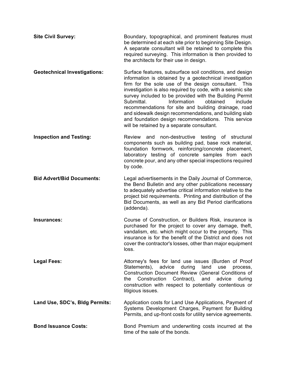| <b>Site Civil Survey:</b> | Boundary, topographical, and prominent features must                                                                  |
|---------------------------|-----------------------------------------------------------------------------------------------------------------------|
|                           | be determined at each site prior to beginning Site Design.<br>A separate consultant will be retained to complete this |
|                           | required surveying. This information is then provided to                                                              |
|                           | the architects for their use in design.                                                                               |

- **Geotechnical Investigations:** Surface features, subsurface soil conditions, and design information is obtained by a geotechnical investigation firm for the sole use of the design consultant. This investigation is also required by code, with a seismic site survey included to be provided with the Building Permit Submittal. Information obtained include recommendations for site and building drainage, road and sidewalk design recommendations, and building slab and foundation design recommendations. This service will be retained by a separate consultant.
- **Inspection and Testing:** Review and non-destructive testing of structural components such as building pad, base rock material, foundation formwork, reinforcing/concrete placement, laboratory testing of concrete samples from each concrete pour, and any other special inspections required by code.
- **Bid Advert/Bid Documents:** Legal advertisements in the Daily Journal of Commerce, the Bend Bulletin and any other publications necessary to adequately advertise critical information relative to the project bid requirements. Printing and distribution of the Bid Documents, as well as any Bid Period clarifications (addenda).
- **Insurances:** The Course of Construction, or Builders Risk, insurance is purchased for the project to cover any damage, theft, vandalism, etc. which might occur to the property. This insurance is for the benefit of the District and does not cover the contractor's losses, other than major equipment loss.
- **Legal Fees:** The Strong Puttorney's fees for land use issues (Burden of Proof Statements), advice during land use process, Construction Document Review (General Conditions of the Construction Contract), and advice during construction with respect to potentially contentious or litigious issues.
- **Land Use, SDC's, Bldg Permits:** Application costs for Land Use Applications, Payment of Systems Development Charges, Payment for Building Permits, and up-front costs for utility service agreements.
- **Bond Issuance Costs:** Bond Premium and underwriting costs incurred at the time of the sale of the bonds.